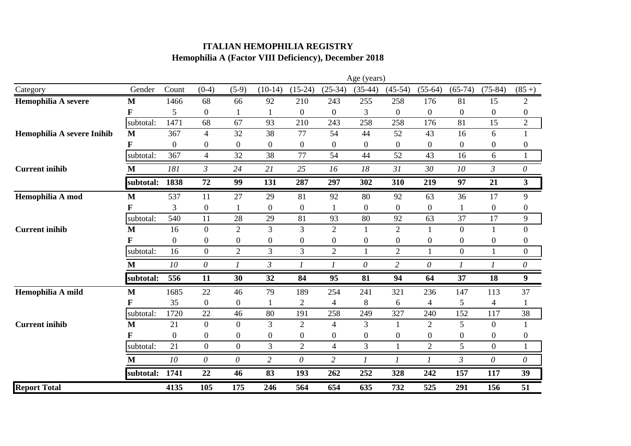## **ITALIAN HEMOPHILIA REGISTRY Hemophilia A (Factor VIII Deficiency), December 2018**

|                            |              | Age (years)    |                  |                  |                          |                  |                  |                  |                  |                  |                  |                  |                  |
|----------------------------|--------------|----------------|------------------|------------------|--------------------------|------------------|------------------|------------------|------------------|------------------|------------------|------------------|------------------|
| Category                   | Gender       | Count          | $(0-4)$          | $(5-9)$          | $(10-14)$                | $(15-24)$        | $(25-34)$        | $(35-44)$        | $(45-54)$        | $(55-64)$        | $(65-74)$        | $(75-84)$        | $(85+)$          |
| Hemophilia A severe        | M            | 1466           | 68               | 66               | 92                       | 210              | 243              | 255              | 258              | 176              | 81               | 15               | $\mathfrak{2}$   |
|                            | F            | 5              | $\boldsymbol{0}$ |                  | 1                        | $\boldsymbol{0}$ | $\boldsymbol{0}$ | 3                | $\boldsymbol{0}$ | $\boldsymbol{0}$ | $\boldsymbol{0}$ | $\boldsymbol{0}$ | $\boldsymbol{0}$ |
|                            | subtotal:    | 1471           | 68               | 67               | 93                       | 210              | 243              | 258              | 258              | 176              | 81               | 15               | $\overline{2}$   |
| Hemophilia A severe Inihib | $\mathbf{M}$ | 367            | $\overline{4}$   | 32               | 38                       | 77               | 54               | 44               | 52               | 43               | 16               | 6                | $\mathbf{1}$     |
|                            |              | 0              | $\boldsymbol{0}$ | $\overline{0}$   | $\boldsymbol{0}$         | $\boldsymbol{0}$ | $\boldsymbol{0}$ | $\mathbf{0}$     | $\boldsymbol{0}$ | $\mathbf{0}$     | $\boldsymbol{0}$ | $\boldsymbol{0}$ | $\boldsymbol{0}$ |
|                            | subtotal:    | 367            | $\overline{4}$   | 32               | 38                       | 77               | 54               | 44               | 52               | 43               | 16               | 6                | $\mathbf{1}$     |
| <b>Current inihib</b>      | M            | 181            | $\mathfrak{Z}$   | 24               | 21                       | 25               | 16               | 18               | 31               | 30               | 10               | 3                | 0                |
|                            | subtotal:    | 1838           | 72               | 99               | 131                      | 287              | 297              | 302              | 310              | 219              | 97               | 21               | $\mathbf{3}$     |
| Hemophilia A mod           | $\mathbf{M}$ | 537            | 11               | 27               | 29                       | 81               | 92               | 80               | 92               | 63               | 36               | 17               | 9                |
|                            | F            | 3              | $\boldsymbol{0}$ |                  | $\boldsymbol{0}$         | $\boldsymbol{0}$ |                  | $\mathbf{0}$     | $\boldsymbol{0}$ | $\boldsymbol{0}$ |                  | $\overline{0}$   | $\boldsymbol{0}$ |
|                            | subtotal:    | 540            | 11               | 28               | 29                       | 81               | 93               | 80               | 92               | 63               | 37               | 17               | 9                |
| <b>Current inihib</b>      | M            | 16             | $\overline{0}$   | $\overline{2}$   | 3                        | 3                | $\overline{2}$   | $\mathbf{1}$     | $\overline{2}$   | $\mathbf{1}$     | $\overline{0}$   | $\mathbf{1}$     | $\boldsymbol{0}$ |
|                            | F            | $\overline{0}$ | $\boldsymbol{0}$ | $\overline{0}$   | $\boldsymbol{0}$         | $\boldsymbol{0}$ | $\boldsymbol{0}$ | $\boldsymbol{0}$ | $\boldsymbol{0}$ | $\mathbf{0}$     | $\boldsymbol{0}$ | $\boldsymbol{0}$ | $\boldsymbol{0}$ |
|                            | subtotal:    | 16             | $\boldsymbol{0}$ | $\overline{2}$   | $\mathfrak{Z}$           | 3                | $\overline{2}$   |                  | $\overline{2}$   |                  | $\boldsymbol{0}$ |                  | $\boldsymbol{0}$ |
|                            | M            | 10             | 0                |                  | $\mathfrak{Z}$           |                  |                  | $\theta$         | $\overline{2}$   | $\theta$         |                  |                  | $\theta$         |
|                            | subtotal:    | 556            | 11               | 30               | 32                       | 84               | 95               | 81               | 94               | 64               | 37               | 18               | $\boldsymbol{9}$ |
| Hemophilia A mild          | $\mathbf{M}$ | 1685           | 22               | 46               | 79                       | 189              | 254              | 241              | 321              | 236              | 147              | 113              | 37               |
|                            | F            | 35             | $\boldsymbol{0}$ | $\mathbf{0}$     | 1                        | $\overline{2}$   | $\overline{4}$   | 8                | 6                | $\overline{4}$   | 5                | $\overline{4}$   |                  |
|                            | subtotal:    | 1720           | 22               | 46               | 80                       | 191              | 258              | 249              | 327              | 240              | 152              | 117              | 38               |
| <b>Current inihib</b>      | M            | 21             | $\overline{0}$   | $\overline{0}$   | 3                        | $\overline{2}$   | $\overline{4}$   | 3                | $\mathbf{1}$     | $\overline{2}$   | 5                | $\boldsymbol{0}$ | 1                |
|                            |              | $\mathbf{0}$   | $\boldsymbol{0}$ | $\boldsymbol{0}$ | $\boldsymbol{0}$         | $\boldsymbol{0}$ | $\boldsymbol{0}$ | $\boldsymbol{0}$ | $\boldsymbol{0}$ | $\boldsymbol{0}$ | $\boldsymbol{0}$ | $\boldsymbol{0}$ | $\boldsymbol{0}$ |
|                            | subtotal:    | 21             | $\boldsymbol{0}$ | $\mathbf{0}$     | 3                        | $\overline{2}$   | $\overline{4}$   | 3                | $\mathbf{1}$     | $\overline{2}$   | 5                | $\mathbf{0}$     |                  |
|                            | M            | 10             | $\theta$         | $\theta$         | $\overline{c}$           | $\theta$         | $\overline{2}$   | 1                | 1                | 1                | $\mathfrak{Z}$   | $\theta$         | 0                |
|                            | subtotal:    | 1741           | $\overline{22}$  | 46               | $\overline{\textbf{83}}$ | 193              | 262              | 252              | 328              | 242              | 157              | $\overline{117}$ | 39               |
| <b>Report Total</b>        |              | 4135           | 105              | 175              | 246                      | 564              | 654              | 635              | 732              | 525              | 291              | 156              | 51               |